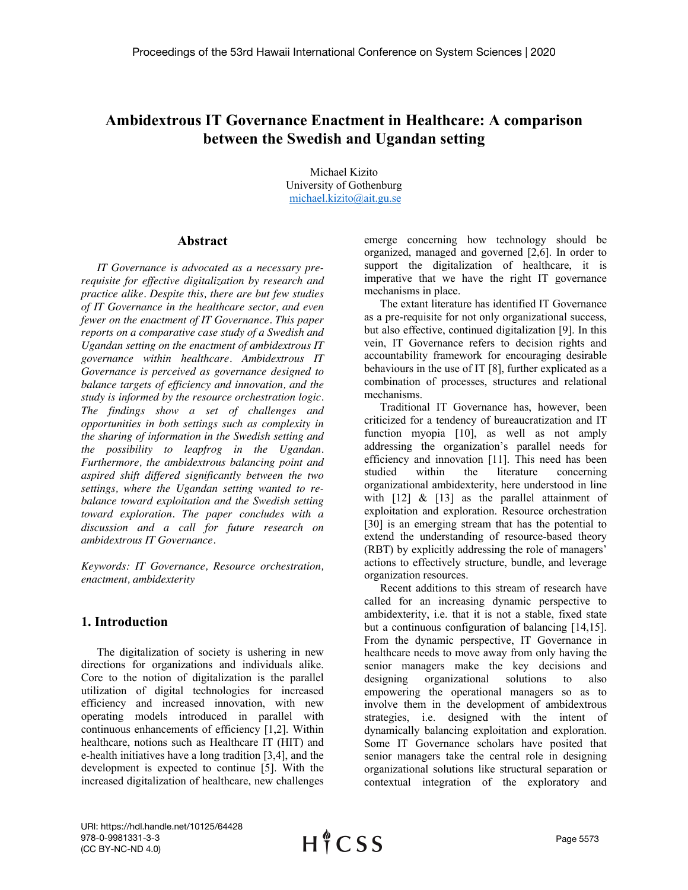# **Ambidextrous IT Governance Enactment in Healthcare: A comparison between the Swedish and Ugandan setting**

Michael Kizito University of Gothenburg michael.kizito@ait.gu.se

#### **[Abstract](mailto:michael.kizito@ait.gu.se)**

*[IT Governa](mailto:michael.kizito@ait.gu.se)nce is advocated as a necessary prerequisite for effective digitalization by research and practice alike. Despite this, there are but few studies of IT Governance in the healthcare sector, and even fewer on the enactment of IT Governance. This paper reports on a comparative case study of a Swedish and Ugandan setting on the enactment of ambidextrous IT governance within healthcare. Ambidextrous IT Governance is perceived as governance designed to balance targets of efficiency and innovation, and the study is informed by the resource orchestration logic. The findings show a set of challenges and opportunities in both settings such as complexity in the sharing of information in the Swedish setting and the possibility to leapfrog in the Ugandan. Furthermore, the ambidextrous balancing point and aspired shift differed significantly between the two settings, where the Ugandan setting wanted to rebalance toward exploitation and the Swedish setting toward exploration. The paper concludes with a discussion and a call for future research on ambidextrous IT Governance.* 

*Keywords: IT Governance, Resource orchestration, enactment, ambidexterity*

## **1. Introduction**

The digitalization of society is ushering in new directions for organizations and individuals alike. Core to the notion of digitalization is the parallel utilization of digital technologies for increased efficiency and increased innovation, with new operating models introduced in parallel with continuous enhancements of efficiency [1,2]. Within healthcare, notions such as Healthcare IT (HIT) and e-health initiatives have a long tradition [3,4], and the development is expected to continue [5]. With the increased digitalization of healthcare, new challenges

emerge concerning how technology should be organized, managed and governed [2,6]. In order to support the digitalization of healthcare, it is imperative that we have the right IT governance mechanisms in place.

The extant literature has identified IT Governance as a pre-requisite for not only organizational success, but also effective, continued digitalization [9]. In this vein, IT Governance refers to decision rights and accountability framework for encouraging desirable behaviours in the use of IT [8], further explicated as a combination of processes, structures and relational mechanisms.

Traditional IT Governance has, however, been criticized for a tendency of bureaucratization and IT function myopia [10], as well as not amply addressing the organization's parallel needs for efficiency and innovation [11]. This need has been studied within the literature concerning organizational ambidexterity, here understood in line with  $\begin{bmatrix} 12 \\ 8 \end{bmatrix}$  &  $\begin{bmatrix} 13 \\ 3 \end{bmatrix}$  as the parallel attainment of exploitation and exploration. Resource orchestration [30] is an emerging stream that has the potential to extend the understanding of resource-based theory (RBT) by explicitly addressing the role of managers' actions to effectively structure, bundle, and leverage organization resources.

Recent additions to this stream of research have called for an increasing dynamic perspective to ambidexterity, i.e. that it is not a stable, fixed state but a continuous configuration of balancing [14,15]. From the dynamic perspective, IT Governance in healthcare needs to move away from only having the senior managers make the key decisions and designing organizational solutions to also empowering the operational managers so as to involve them in the development of ambidextrous strategies, i.e. designed with the intent of dynamically balancing exploitation and exploration. Some IT Governance scholars have posited that senior managers take the central role in designing organizational solutions like structural separation or contextual integration of the exploratory and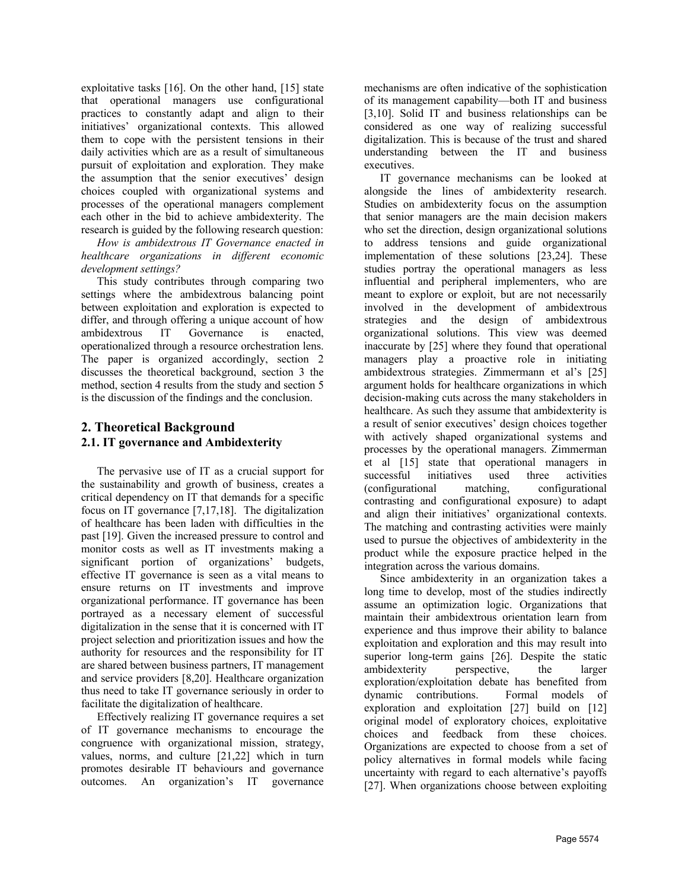exploitative tasks [16]. On the other hand, [15] state that operational managers use configurational practices to constantly adapt and align to their initiatives' organizational contexts. This allowed them to cope with the persistent tensions in their daily activities which are as a result of simultaneous pursuit of exploitation and exploration. They make the assumption that the senior executives' design choices coupled with organizational systems and processes of the operational managers complement each other in the bid to achieve ambidexterity. The research is guided by the following research question:

*How is ambidextrous IT Governance enacted in healthcare organizations in different economic development settings?* 

This study contributes through comparing two settings where the ambidextrous balancing point between exploitation and exploration is expected to differ, and through offering a unique account of how ambidextrous IT Governance is enacted, operationalized through a resource orchestration lens. The paper is organized accordingly, section 2 discusses the theoretical background, section 3 the method, section 4 results from the study and section 5 is the discussion of the findings and the conclusion.

## **2. Theoretical Background 2.1. IT governance and Ambidexterity**

The pervasive use of IT as a crucial support for the sustainability and growth of business, creates a critical dependency on IT that demands for a specific focus on IT governance [7,17,18]. The digitalization of healthcare has been laden with difficulties in the past [19]. Given the increased pressure to control and monitor costs as well as IT investments making a significant portion of organizations' budgets, effective IT governance is seen as a vital means to ensure returns on IT investments and improve organizational performance. IT governance has been portrayed as a necessary element of successful digitalization in the sense that it is concerned with IT project selection and prioritization issues and how the authority for resources and the responsibility for IT are shared between business partners, IT management and service providers [8,20]. Healthcare organization thus need to take IT governance seriously in order to facilitate the digitalization of healthcare.

Effectively realizing IT governance requires a set of IT governance mechanisms to encourage the congruence with organizational mission, strategy, values, norms, and culture [21,22] which in turn promotes desirable IT behaviours and governance outcomes. An organization's IT governance

mechanisms are often indicative of the sophistication of its management capability—both IT and business [3,10]. Solid IT and business relationships can be considered as one way of realizing successful digitalization. This is because of the trust and shared understanding between the IT and business executives.

IT governance mechanisms can be looked at alongside the lines of ambidexterity research. Studies on ambidexterity focus on the assumption that senior managers are the main decision makers who set the direction, design organizational solutions to address tensions and guide organizational implementation of these solutions [23,24]. These studies portray the operational managers as less influential and peripheral implementers, who are meant to explore or exploit, but are not necessarily involved in the development of ambidextrous strategies and the design of ambidextrous organizational solutions. This view was deemed inaccurate by [25] where they found that operational managers play a proactive role in initiating ambidextrous strategies. Zimmermann et al's [25] argument holds for healthcare organizations in which decision-making cuts across the many stakeholders in healthcare. As such they assume that ambidexterity is a result of senior executives' design choices together with actively shaped organizational systems and processes by the operational managers. Zimmerman et al [15] state that operational managers in successful initiatives used three activities (configurational matching, configurational contrasting and configurational exposure) to adapt and align their initiatives' organizational contexts. The matching and contrasting activities were mainly used to pursue the objectives of ambidexterity in the product while the exposure practice helped in the integration across the various domains.

Since ambidexterity in an organization takes a long time to develop, most of the studies indirectly assume an optimization logic. Organizations that maintain their ambidextrous orientation learn from experience and thus improve their ability to balance exploitation and exploration and this may result into superior long-term gains [26]. Despite the static ambidexterity perspective, the larger exploration/exploitation debate has benefited from dynamic contributions. Formal models of exploration and exploitation [27] build on [12] original model of exploratory choices, exploitative choices and feedback from these choices. Organizations are expected to choose from a set of policy alternatives in formal models while facing uncertainty with regard to each alternative's payoffs [27]. When organizations choose between exploiting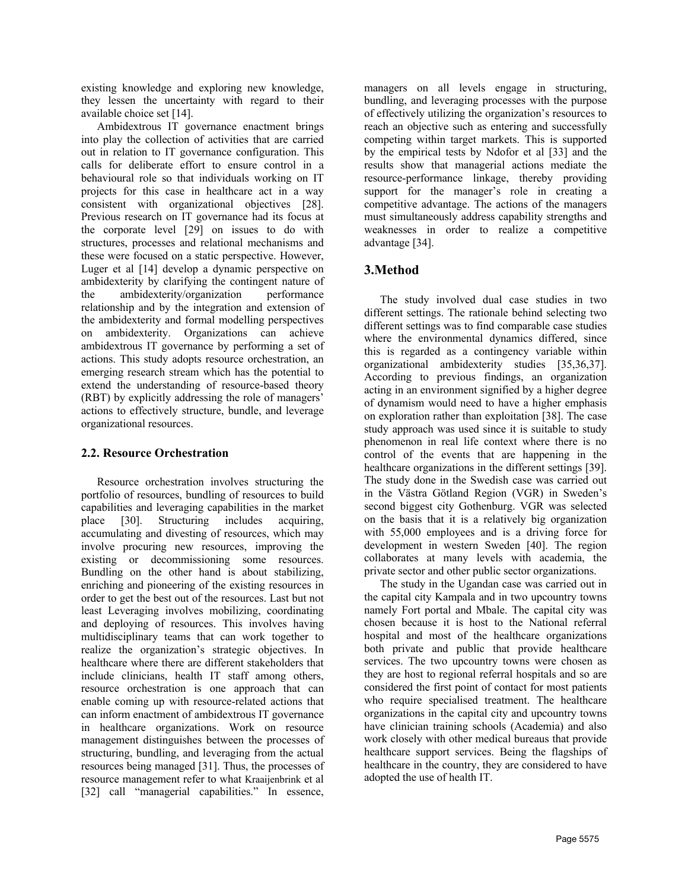existing knowledge and exploring new knowledge, they lessen the uncertainty with regard to their available choice set [14].

Ambidextrous IT governance enactment brings into play the collection of activities that are carried out in relation to IT governance configuration. This calls for deliberate effort to ensure control in a behavioural role so that individuals working on IT projects for this case in healthcare act in a way consistent with organizational objectives [28]. Previous research on IT governance had its focus at the corporate level [29] on issues to do with structures, processes and relational mechanisms and these were focused on a static perspective. However, Luger et al [14] develop a dynamic perspective on ambidexterity by clarifying the contingent nature of the ambidexterity/organization performance relationship and by the integration and extension of the ambidexterity and formal modelling perspectives on ambidexterity. Organizations can achieve ambidextrous IT governance by performing a set of actions. This study adopts resource orchestration, an emerging research stream which has the potential to extend the understanding of resource-based theory (RBT) by explicitly addressing the role of managers' actions to effectively structure, bundle, and leverage organizational resources.

#### **2.2. Resource Orchestration**

Resource orchestration involves structuring the portfolio of resources, bundling of resources to build capabilities and leveraging capabilities in the market place [30]. Structuring includes acquiring, accumulating and divesting of resources, which may involve procuring new resources, improving the existing or decommissioning some resources. Bundling on the other hand is about stabilizing, enriching and pioneering of the existing resources in order to get the best out of the resources. Last but not least Leveraging involves mobilizing, coordinating and deploying of resources. This involves having multidisciplinary teams that can work together to realize the organization's strategic objectives. In healthcare where there are different stakeholders that include clinicians, health IT staff among others, resource orchestration is one approach that can enable coming up with resource-related actions that can inform enactment of ambidextrous IT governance in healthcare organizations. Work on resource management distinguishes between the processes of structuring, bundling, and leveraging from the actual resources being managed [31]. Thus, the processes of resource management refer to what Kraaijenbrink et al [32] call "managerial capabilities." In essence,

managers on all levels engage in structuring, bundling, and leveraging processes with the purpose of effectively utilizing the organization's resources to reach an objective such as entering and successfully competing within target markets. This is supported by the empirical tests by Ndofor et al [33] and the results show that managerial actions mediate the resource-performance linkage, thereby providing support for the manager's role in creating a competitive advantage. The actions of the managers must simultaneously address capability strengths and weaknesses in order to realize a competitive advantage [34].

## **3.Method**

The study involved dual case studies in two different settings. The rationale behind selecting two different settings was to find comparable case studies where the environmental dynamics differed, since this is regarded as a contingency variable within organizational ambidexterity studies [35,36,37]. According to previous findings, an organization acting in an environment signified by a higher degree of dynamism would need to have a higher emphasis on exploration rather than exploitation [38]. The case study approach was used since it is suitable to study phenomenon in real life context where there is no control of the events that are happening in the healthcare organizations in the different settings [39]. The study done in the Swedish case was carried out in the Västra Götland Region (VGR) in Sweden's second biggest city Gothenburg. VGR was selected on the basis that it is a relatively big organization with 55,000 employees and is a driving force for development in western Sweden [40]. The region collaborates at many levels with academia, the private sector and other public sector organizations.

The study in the Ugandan case was carried out in the capital city Kampala and in two upcountry towns namely Fort portal and Mbale. The capital city was chosen because it is host to the National referral hospital and most of the healthcare organizations both private and public that provide healthcare services. The two upcountry towns were chosen as they are host to regional referral hospitals and so are considered the first point of contact for most patients who require specialised treatment. The healthcare organizations in the capital city and upcountry towns have clinician training schools (Academia) and also work closely with other medical bureaus that provide healthcare support services. Being the flagships of healthcare in the country, they are considered to have adopted the use of health IT.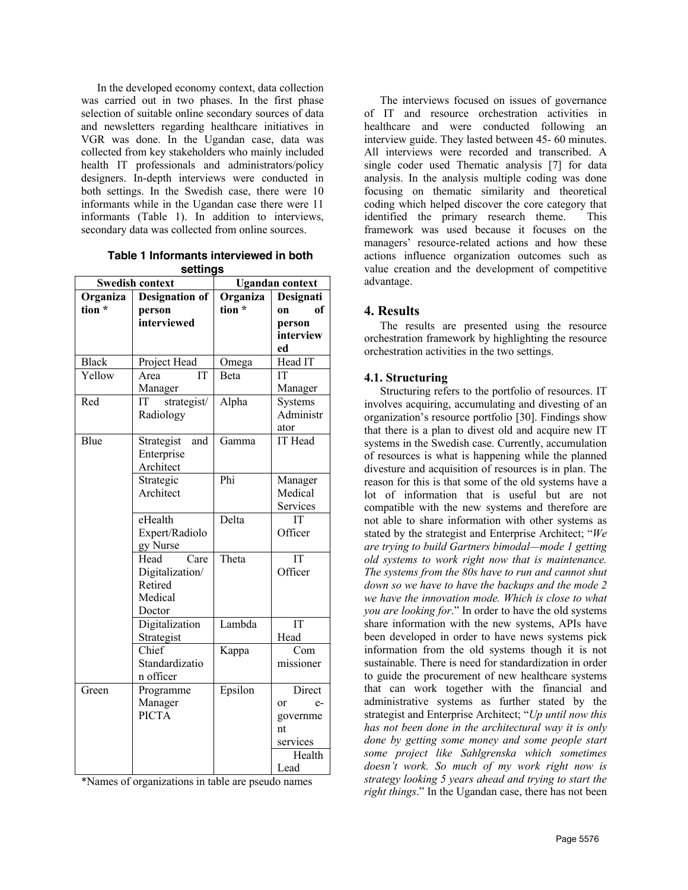In the developed economy context, data collection was carried out in two phases. In the first phase selection of suitable online secondary sources of data and newsletters regarding healthcare initiatives in VGR was done. In the Ugandan case, data was collected from key stakeholders who mainly included health IT professionals and administrators/policy designers. In-depth interviews were conducted in both settings. In the Swedish case, there were 10 informants while in the Ugandan case there were 11 informants (Table 1). In addition to interviews, secondary data was collected from online sources.

**Table 1 Informants interviewed in both settings**

| <b>Swedish context</b> |                       | <b>Ugandan context</b> |            |
|------------------------|-----------------------|------------------------|------------|
| Organiza               | <b>Designation of</b> | Organiza               | Designati  |
| tion *                 | person                | tion *                 | of<br>on   |
|                        | interviewed           |                        | person     |
|                        |                       |                        | interview  |
|                        |                       |                        | ed         |
| <b>Black</b>           | Project Head          | Omega                  | Head IT    |
| Yellow                 | Area<br>IT            | Beta                   | IT         |
|                        | Manager               |                        | Manager    |
| Red                    | strategist/<br>IT     | Alpha                  | Systems    |
|                        | Radiology             |                        | Administr  |
|                        |                       |                        | ator       |
| Blue                   | Strategist<br>and     | Gamma                  | IT Head    |
|                        | Enterprise            |                        |            |
|                        | Architect             |                        |            |
|                        | Strategic             | Phi                    | Manager    |
|                        | Architect             |                        | Medical    |
|                        |                       |                        | Services   |
|                        | eHealth               | Delta                  | IT         |
|                        | Expert/Radiolo        |                        | Officer    |
|                        | gy Nurse              |                        |            |
|                        | Care<br>Head          | Theta                  | IT         |
|                        | Digitalization/       |                        | Officer    |
|                        | Retired               |                        |            |
|                        | Medical               |                        |            |
|                        | Doctor                |                        |            |
|                        | Digitalization        | Lambda                 | IT         |
|                        | Strategist            |                        | Head       |
|                        | Chief                 | Kappa                  | Com        |
|                        | Standardizatio        |                        | missioner  |
|                        | n officer             |                        |            |
| Green                  | Programme             | Epsilon                | Direct     |
|                        | Manager               |                        | $e-$<br>or |
|                        | <b>PICTA</b>          |                        | governme   |
|                        |                       |                        | nt         |
|                        |                       |                        | services   |
|                        |                       |                        | Health     |
|                        |                       |                        | Lead       |

\*Names of organizations in table are pseudo names

The interviews focused on issues of governance of IT and resource orchestration activities in healthcare and were conducted following an interview guide. They lasted between 45- 60 minutes. All interviews were recorded and transcribed. A single coder used Thematic analysis [7] for data analysis. In the analysis multiple coding was done focusing on thematic similarity and theoretical coding which helped discover the core category that identified the primary research theme. This framework was used because it focuses on the managers' resource-related actions and how these actions influence organization outcomes such as value creation and the development of competitive advantage.

#### **4. Results**

The results are presented using the resource orchestration framework by highlighting the resource orchestration activities in the two settings.

#### **4.1. Structuring**

Structuring refers to the portfolio of resources. IT involves acquiring, accumulating and divesting of an organization's resource portfolio [30]. Findings show that there is a plan to divest old and acquire new IT systems in the Swedish case. Currently, accumulation of resources is what is happening while the planned divesture and acquisition of resources is in plan. The reason for this is that some of the old systems have a lot of information that is useful but are not compatible with the new systems and therefore are not able to share information with other systems as stated by the strategist and Enterprise Architect; "*We are trying to build Gartners bimodal—mode 1 getting old systems to work right now that is maintenance. The systems from the 80s have to run and cannot shut down so we have to have the backups and the mode 2 we have the innovation mode. Which is close to what you are looking for*." In order to have the old systems share information with the new systems, APIs have been developed in order to have news systems pick information from the old systems though it is not sustainable. There is need for standardization in order to guide the procurement of new healthcare systems that can work together with the financial and administrative systems as further stated by the strategist and Enterprise Architect; "*Up until now this has not been done in the architectural way it is only done by getting some money and some people start some project like Sahlgrenska which sometimes doesn't work. So much of my work right now is strategy looking 5 years ahead and trying to start the right things*." In the Ugandan case, there has not been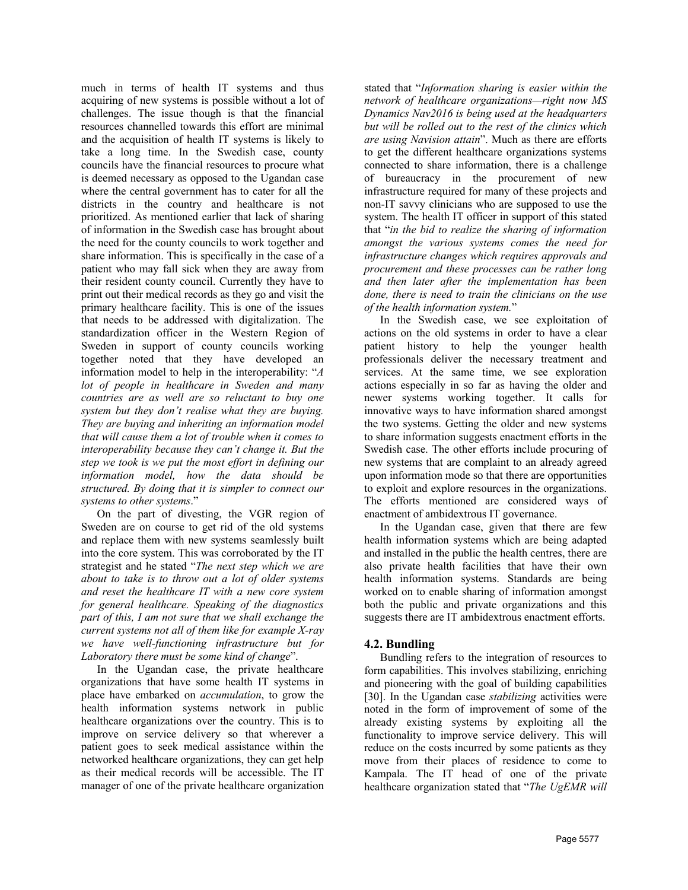much in terms of health IT systems and thus acquiring of new systems is possible without a lot of challenges. The issue though is that the financial resources channelled towards this effort are minimal and the acquisition of health IT systems is likely to take a long time. In the Swedish case, county councils have the financial resources to procure what is deemed necessary as opposed to the Ugandan case where the central government has to cater for all the districts in the country and healthcare is not prioritized. As mentioned earlier that lack of sharing of information in the Swedish case has brought about the need for the county councils to work together and share information. This is specifically in the case of a patient who may fall sick when they are away from their resident county council. Currently they have to print out their medical records as they go and visit the primary healthcare facility. This is one of the issues that needs to be addressed with digitalization. The standardization officer in the Western Region of Sweden in support of county councils working together noted that they have developed an information model to help in the interoperability: "*A lot of people in healthcare in Sweden and many countries are as well are so reluctant to buy one system but they don't realise what they are buying. They are buying and inheriting an information model that will cause them a lot of trouble when it comes to interoperability because they can't change it. But the step we took is we put the most effort in defining our information model, how the data should be structured. By doing that it is simpler to connect our systems to other systems*."

On the part of divesting, the VGR region of Sweden are on course to get rid of the old systems and replace them with new systems seamlessly built into the core system. This was corroborated by the IT strategist and he stated "*The next step which we are about to take is to throw out a lot of older systems and reset the healthcare IT with a new core system for general healthcare. Speaking of the diagnostics part of this, I am not sure that we shall exchange the current systems not all of them like for example X-ray we have well-functioning infrastructure but for Laboratory there must be some kind of change*".

In the Ugandan case, the private healthcare organizations that have some health IT systems in place have embarked on *accumulation*, to grow the health information systems network in public healthcare organizations over the country. This is to improve on service delivery so that wherever a patient goes to seek medical assistance within the networked healthcare organizations, they can get help as their medical records will be accessible. The IT manager of one of the private healthcare organization

stated that "*Information sharing is easier within the network of healthcare organizations—right now MS Dynamics Nav2016 is being used at the headquarters but will be rolled out to the rest of the clinics which are using Navision attain*". Much as there are efforts to get the different healthcare organizations systems connected to share information, there is a challenge of bureaucracy in the procurement of new infrastructure required for many of these projects and non-IT savvy clinicians who are supposed to use the system. The health IT officer in support of this stated that "*in the bid to realize the sharing of information amongst the various systems comes the need for infrastructure changes which requires approvals and procurement and these processes can be rather long and then later after the implementation has been done, there is need to train the clinicians on the use of the health information system.*"

In the Swedish case, we see exploitation of actions on the old systems in order to have a clear patient history to help the younger health professionals deliver the necessary treatment and services. At the same time, we see exploration actions especially in so far as having the older and newer systems working together. It calls for innovative ways to have information shared amongst the two systems. Getting the older and new systems to share information suggests enactment efforts in the Swedish case. The other efforts include procuring of new systems that are complaint to an already agreed upon information mode so that there are opportunities to exploit and explore resources in the organizations. The efforts mentioned are considered ways of enactment of ambidextrous IT governance.

In the Ugandan case, given that there are few health information systems which are being adapted and installed in the public the health centres, there are also private health facilities that have their own health information systems. Standards are being worked on to enable sharing of information amongst both the public and private organizations and this suggests there are IT ambidextrous enactment efforts.

#### **4.2. Bundling**

Bundling refers to the integration of resources to form capabilities. This involves stabilizing, enriching and pioneering with the goal of building capabilities [30]. In the Ugandan case *stabilizing* activities were noted in the form of improvement of some of the already existing systems by exploiting all the functionality to improve service delivery. This will reduce on the costs incurred by some patients as they move from their places of residence to come to Kampala. The IT head of one of the private healthcare organization stated that "*The UgEMR will*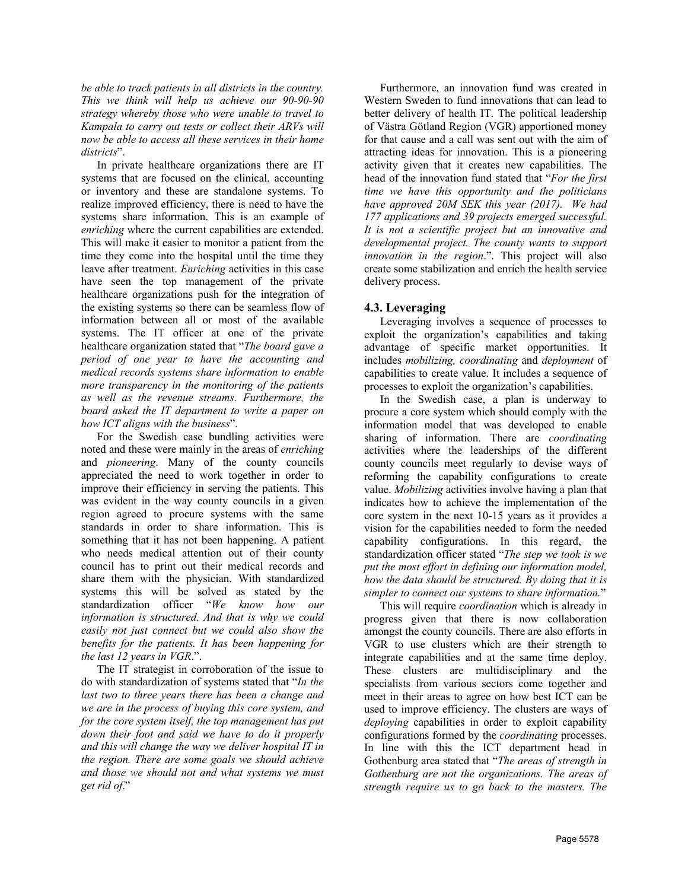*be able to track patients in all districts in the country. This we think will help us achieve our 90-90-90 strategy whereby those who were unable to travel to Kampala to carry out tests or collect their ARVs will now be able to access all these services in their home districts*".

In private healthcare organizations there are IT systems that are focused on the clinical, accounting or inventory and these are standalone systems. To realize improved efficiency, there is need to have the systems share information. This is an example of *enriching* where the current capabilities are extended. This will make it easier to monitor a patient from the time they come into the hospital until the time they leave after treatment. *Enriching* activities in this case have seen the top management of the private healthcare organizations push for the integration of the existing systems so there can be seamless flow of information between all or most of the available systems. The IT officer at one of the private healthcare organization stated that "*The board gave a period of one year to have the accounting and medical records systems share information to enable more transparency in the monitoring of the patients as well as the revenue streams. Furthermore, the board asked the IT department to write a paper on how ICT aligns with the business*".

For the Swedish case bundling activities were noted and these were mainly in the areas of *enriching* and *pioneering*. Many of the county councils appreciated the need to work together in order to improve their efficiency in serving the patients. This was evident in the way county councils in a given region agreed to procure systems with the same standards in order to share information. This is something that it has not been happening. A patient who needs medical attention out of their county council has to print out their medical records and share them with the physician. With standardized systems this will be solved as stated by the standardization officer "*We know how our information is structured. And that is why we could easily not just connect but we could also show the benefits for the patients. It has been happening for the last 12 years in VGR*.".

The IT strategist in corroboration of the issue to do with standardization of systems stated that "*In the last two to three years there has been a change and we are in the process of buying this core system, and for the core system itself, the top management has put down their foot and said we have to do it properly and this will change the way we deliver hospital IT in the region. There are some goals we should achieve and those we should not and what systems we must get rid of*."

Furthermore, an innovation fund was created in Western Sweden to fund innovations that can lead to better delivery of health IT. The political leadership of Västra Götland Region (VGR) apportioned money for that cause and a call was sent out with the aim of attracting ideas for innovation. This is a pioneering activity given that it creates new capabilities. The head of the innovation fund stated that "*For the first time we have this opportunity and the politicians have approved 20M SEK this year (2017). We had 177 applications and 39 projects emerged successful. It is not a scientific project but an innovative and developmental project. The county wants to support innovation in the region*.". This project will also create some stabilization and enrich the health service delivery process.

### **4.3. Leveraging**

Leveraging involves a sequence of processes to exploit the organization's capabilities and taking advantage of specific market opportunities. It includes *mobilizing, coordinating* and *deployment* of capabilities to create value. It includes a sequence of processes to exploit the organization's capabilities.

In the Swedish case, a plan is underway to procure a core system which should comply with the information model that was developed to enable sharing of information. There are *coordinating* activities where the leaderships of the different county councils meet regularly to devise ways of reforming the capability configurations to create value. *Mobilizing* activities involve having a plan that indicates how to achieve the implementation of the core system in the next 10-15 years as it provides a vision for the capabilities needed to form the needed capability configurations. In this regard, the standardization officer stated "*The step we took is we put the most effort in defining our information model, how the data should be structured. By doing that it is simpler to connect our systems to share information.*"

This will require *coordination* which is already in progress given that there is now collaboration amongst the county councils. There are also efforts in VGR to use clusters which are their strength to integrate capabilities and at the same time deploy. These clusters are multidisciplinary and the specialists from various sectors come together and meet in their areas to agree on how best ICT can be used to improve efficiency. The clusters are ways of *deploying* capabilities in order to exploit capability configurations formed by the *coordinating* processes. In line with this the ICT department head in Gothenburg area stated that "*The areas of strength in Gothenburg are not the organizations. The areas of strength require us to go back to the masters. The*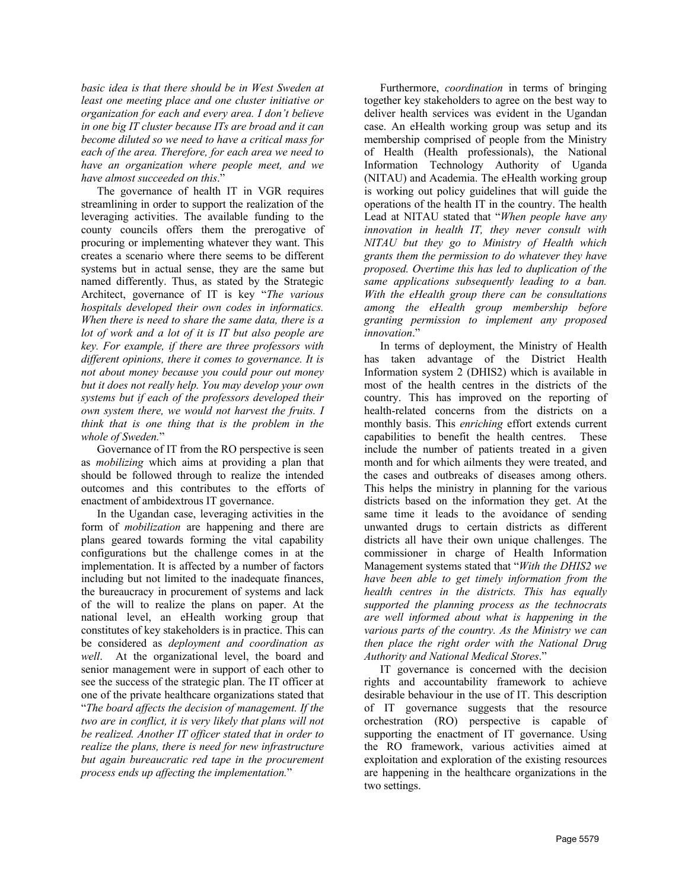*basic idea is that there should be in West Sweden at least one meeting place and one cluster initiative or organization for each and every area. I don't believe in one big IT cluster because ITs are broad and it can become diluted so we need to have a critical mass for each of the area. Therefore, for each area we need to have an organization where people meet, and we have almost succeeded on this*."

The governance of health IT in VGR requires streamlining in order to support the realization of the leveraging activities. The available funding to the county councils offers them the prerogative of procuring or implementing whatever they want. This creates a scenario where there seems to be different systems but in actual sense, they are the same but named differently. Thus, as stated by the Strategic Architect, governance of IT is key "*The various hospitals developed their own codes in informatics. When there is need to share the same data, there is a lot of work and a lot of it is IT but also people are key. For example, if there are three professors with different opinions, there it comes to governance. It is not about money because you could pour out money but it does not really help. You may develop your own systems but if each of the professors developed their own system there, we would not harvest the fruits. I think that is one thing that is the problem in the whole of Sweden.*"

Governance of IT from the RO perspective is seen as *mobilizing* which aims at providing a plan that should be followed through to realize the intended outcomes and this contributes to the efforts of enactment of ambidextrous IT governance.

In the Ugandan case, leveraging activities in the form of *mobilization* are happening and there are plans geared towards forming the vital capability configurations but the challenge comes in at the implementation. It is affected by a number of factors including but not limited to the inadequate finances, the bureaucracy in procurement of systems and lack of the will to realize the plans on paper. At the national level, an eHealth working group that constitutes of key stakeholders is in practice. This can be considered as *deployment and coordination as well*. At the organizational level, the board and senior management were in support of each other to see the success of the strategic plan. The IT officer at one of the private healthcare organizations stated that "*The board affects the decision of management. If the two are in conflict, it is very likely that plans will not be realized. Another IT officer stated that in order to realize the plans, there is need for new infrastructure but again bureaucratic red tape in the procurement process ends up affecting the implementation.*"

Furthermore, *coordination* in terms of bringing together key stakeholders to agree on the best way to deliver health services was evident in the Ugandan case. An eHealth working group was setup and its membership comprised of people from the Ministry of Health (Health professionals), the National Information Technology Authority of Uganda (NITAU) and Academia. The eHealth working group is working out policy guidelines that will guide the operations of the health IT in the country. The health Lead at NITAU stated that "*When people have any innovation in health IT, they never consult with NITAU but they go to Ministry of Health which grants them the permission to do whatever they have proposed. Overtime this has led to duplication of the same applications subsequently leading to a ban. With the eHealth group there can be consultations among the eHealth group membership before granting permission to implement any proposed innovation*."

In terms of deployment, the Ministry of Health has taken advantage of the District Health Information system 2 (DHIS2) which is available in most of the health centres in the districts of the country. This has improved on the reporting of health-related concerns from the districts on a monthly basis. This *enriching* effort extends current capabilities to benefit the health centres. These include the number of patients treated in a given month and for which ailments they were treated, and the cases and outbreaks of diseases among others. This helps the ministry in planning for the various districts based on the information they get. At the same time it leads to the avoidance of sending unwanted drugs to certain districts as different districts all have their own unique challenges. The commissioner in charge of Health Information Management systems stated that "*With the DHIS2 we have been able to get timely information from the health centres in the districts. This has equally supported the planning process as the technocrats are well informed about what is happening in the various parts of the country. As the Ministry we can then place the right order with the National Drug Authority and National Medical Stores*."

IT governance is concerned with the decision rights and accountability framework to achieve desirable behaviour in the use of IT. This description of IT governance suggests that the resource orchestration (RO) perspective is capable of supporting the enactment of IT governance. Using the RO framework, various activities aimed at exploitation and exploration of the existing resources are happening in the healthcare organizations in the two settings.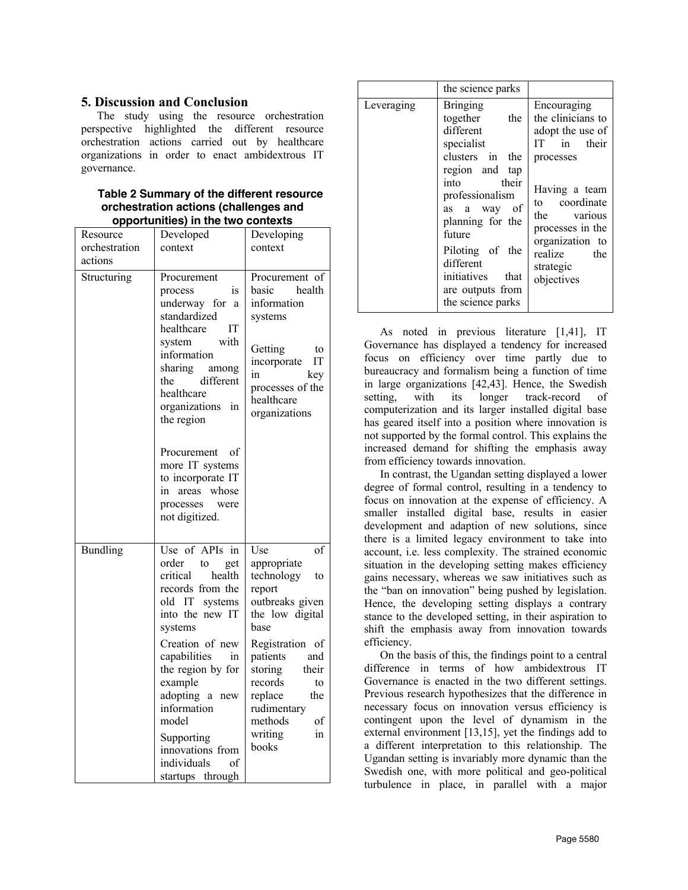## **5. Discussion and Conclusion**

The study using the resource orchestration perspective highlighted the different resource orchestration actions carried out by healthcare organizations in order to enact ambidextrous IT governance.

#### **Table 2 Summary of the different resource orchestration actions (challenges and opportunities) in the two contexts**

| Resource      | Developed                                                                                                                                                                                                                                                                                                                             | Developing                                                                                                                                                                                                                                                  |
|---------------|---------------------------------------------------------------------------------------------------------------------------------------------------------------------------------------------------------------------------------------------------------------------------------------------------------------------------------------|-------------------------------------------------------------------------------------------------------------------------------------------------------------------------------------------------------------------------------------------------------------|
| orchestration | context                                                                                                                                                                                                                                                                                                                               | context                                                                                                                                                                                                                                                     |
| actions       |                                                                                                                                                                                                                                                                                                                                       |                                                                                                                                                                                                                                                             |
| Structuring   | Procurement<br>process<br><sub>1s</sub><br>underway for a<br>standardized<br>healthcare<br>IT<br>with<br>system<br>information<br>sharing<br>among<br>different<br>the<br>healthcare<br>organizations in<br>the region                                                                                                                | Procurement of<br>health<br>basic<br>information<br>systems<br>Getting<br>to<br>IT<br>incorporate<br>in<br>key<br>processes of the<br>healthcare<br>organizations                                                                                           |
|               | Procurement<br>of<br>more IT systems<br>to incorporate IT<br>in areas whose<br>processes<br>were<br>not digitized.                                                                                                                                                                                                                    |                                                                                                                                                                                                                                                             |
| Bundling      | Use of APIs in<br>order<br>to<br>get<br>critical<br>health<br>records from the<br>old IT<br>systems<br>into the new IT<br>systems<br>Creation of new<br>capabilities<br>in<br>the region by for<br>example<br>adopting<br>a<br>new<br>information<br>model<br>Supporting<br>innovations from<br>individuals<br>of<br>startups through | Use<br>of<br>appropriate<br>technology<br>to<br>report<br>outbreaks given<br>the low digital<br>base<br>Registration of<br>patients<br>and<br>storing<br>their<br>records<br>to<br>the<br>replace<br>rudimentary<br>methods<br>οf<br>writing<br>in<br>books |

|            | the science parks                                                                                                                                                                                                                                                                           |                                                                                                                                                                                                                                |
|------------|---------------------------------------------------------------------------------------------------------------------------------------------------------------------------------------------------------------------------------------------------------------------------------------------|--------------------------------------------------------------------------------------------------------------------------------------------------------------------------------------------------------------------------------|
| Leveraging | <b>Bringing</b><br>together<br>the<br>different<br>specialist<br>clusters in the<br>region and tap<br>their<br>into<br>professionalism<br>- of<br>a way<br>as<br>planning for the<br>future<br>Piloting of the<br>different<br>initiatives<br>that<br>are outputs from<br>the science parks | Encouraging<br>the clinicians to<br>adopt the use of<br>IТ<br>in their<br>processes<br>Having a team<br>coordinate<br>to to<br>the various<br>processes in the<br>organization to<br>realize<br>the<br>strategic<br>objectives |

As noted in previous literature [1,41], IT Governance has displayed a tendency for increased focus on efficiency over time partly due to bureaucracy and formalism being a function of time in large organizations [42,43]. Hence, the Swedish setting, with its longer track-record of computerization and its larger installed digital base has geared itself into a position where innovation is not supported by the formal control. This explains the increased demand for shifting the emphasis away from efficiency towards innovation.

In contrast, the Ugandan setting displayed a lower degree of formal control, resulting in a tendency to focus on innovation at the expense of efficiency. A smaller installed digital base, results in easier development and adaption of new solutions, since there is a limited legacy environment to take into account, i.e. less complexity. The strained economic situation in the developing setting makes efficiency gains necessary, whereas we saw initiatives such as the "ban on innovation" being pushed by legislation. Hence, the developing setting displays a contrary stance to the developed setting, in their aspiration to shift the emphasis away from innovation towards efficiency.

On the basis of this, the findings point to a central difference in terms of how ambidextrous IT Governance is enacted in the two different settings. Previous research hypothesizes that the difference in necessary focus on innovation versus efficiency is contingent upon the level of dynamism in the external environment [13,15], yet the findings add to a different interpretation to this relationship. The Ugandan setting is invariably more dynamic than the Swedish one, with more political and geo-political turbulence in place, in parallel with a major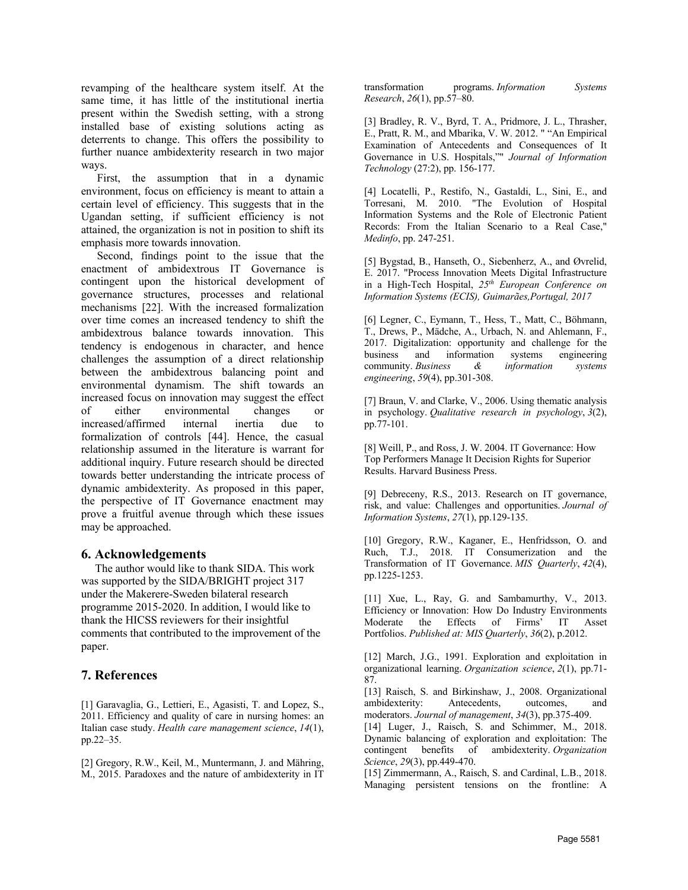revamping of the healthcare system itself. At the same time, it has little of the institutional inertia present within the Swedish setting, with a strong installed base of existing solutions acting as deterrents to change. This offers the possibility to further nuance ambidexterity research in two major ways.

First, the assumption that in a dynamic environment, focus on efficiency is meant to attain a certain level of efficiency. This suggests that in the Ugandan setting, if sufficient efficiency is not attained, the organization is not in position to shift its emphasis more towards innovation.

Second, findings point to the issue that the enactment of ambidextrous IT Governance is contingent upon the historical development of governance structures, processes and relational mechanisms [22]. With the increased formalization over time comes an increased tendency to shift the ambidextrous balance towards innovation. This tendency is endogenous in character, and hence challenges the assumption of a direct relationship between the ambidextrous balancing point and environmental dynamism. The shift towards an increased focus on innovation may suggest the effect of either environmental changes or increased/affirmed internal inertia due to formalization of controls [44]. Hence, the casual relationship assumed in the literature is warrant for additional inquiry. Future research should be directed towards better understanding the intricate process of dynamic ambidexterity. As proposed in this paper, the perspective of IT Governance enactment may prove a fruitful avenue through which these issues may be approached.

#### **6. Acknowledgements**

 The author would like to thank SIDA. This work was supported by the SIDA/BRIGHT project 317 under the Makerere-Sweden bilateral research programme 2015-2020. In addition, I would like to thank the HICSS reviewers for their insightful comments that contributed to the improvement of the paper.

## **7. References**

[1] Garavaglia, G., Lettieri, E., Agasisti, T. and Lopez, S., 2011. Efficiency and quality of care in nursing homes: an Italian case study. *Health care management science*, *14*(1), pp.22–35.

[2] Gregory, R.W., Keil, M., Muntermann, J. and Mähring, M., 2015. Paradoxes and the nature of ambidexterity in IT transformation programs. *Information Systems Research*, *26*(1), pp.57–80.

[3] Bradley, R. V., Byrd, T. A., Pridmore, J. L., Thrasher, E., Pratt, R. M., and Mbarika, V. W. 2012. " "An Empirical Examination of Antecedents and Consequences of It Governance in U.S. Hospitals,"" *Journal of Information Technology* (27:2), pp. 156-177.

[4] Locatelli, P., Restifo, N., Gastaldi, L., Sini, E., and Torresani, M. 2010. "The Evolution of Hospital Information Systems and the Role of Electronic Patient Records: From the Italian Scenario to a Real Case," *Medinfo*, pp. 247-251.

[5] Bygstad, B., Hanseth, O., Siebenherz, A., and Øvrelid, E. 2017. "Process Innovation Meets Digital Infrastructure in a High-Tech Hospital, *25th European Conference on Information Systems (ECIS), Guimarães,Portugal, 2017*

[6] Legner, C., Eymann, T., Hess, T., Matt, C., Böhmann, T., Drews, P., Mädche, A., Urbach, N. and Ahlemann, F., 2017. Digitalization: opportunity and challenge for the business and information systems engineering community. *Business & information systems engineering*, *59*(4), pp.301-308.

[7] Braun, V. and Clarke, V., 2006. Using thematic analysis in psychology. *Qualitative research in psychology*, *3*(2), pp.77-101.

[8] Weill, P., and Ross, J. W. 2004. IT Governance: How Top Performers Manage It Decision Rights for Superior Results. Harvard Business Press.

[9] Debreceny, R.S., 2013. Research on IT governance, risk, and value: Challenges and opportunities. *Journal of Information Systems*, *27*(1), pp.129-135.

[10] Gregory, R.W., Kaganer, E., Henfridsson, O. and Ruch, T.J., 2018. IT Consumerization and the Transformation of IT Governance. *MIS Quarterly*, *42*(4), pp.1225-1253.

[11] Xue, L., Ray, G. and Sambamurthy, V., 2013. Efficiency or Innovation: How Do Industry Environments Moderate the Effects of Firms' IT Asset Portfolios. *Published at: MIS Quarterly*, *36*(2), p.2012.

[12] March, J.G., 1991. Exploration and exploitation in organizational learning. *Organization science*, *2*(1), pp.71- 87.

[13] Raisch, S. and Birkinshaw, J., 2008. Organizational ambidexterity: Antecedents, outcomes, and moderators. *Journal of management*, *34*(3), pp.375-409.

[14] Luger, J., Raisch, S. and Schimmer, M., 2018. Dynamic balancing of exploration and exploitation: The contingent benefits of ambidexterity. *Organization Science*, *29*(3), pp.449-470.

[15] Zimmermann, A., Raisch, S. and Cardinal, L.B., 2018. Managing persistent tensions on the frontline: A